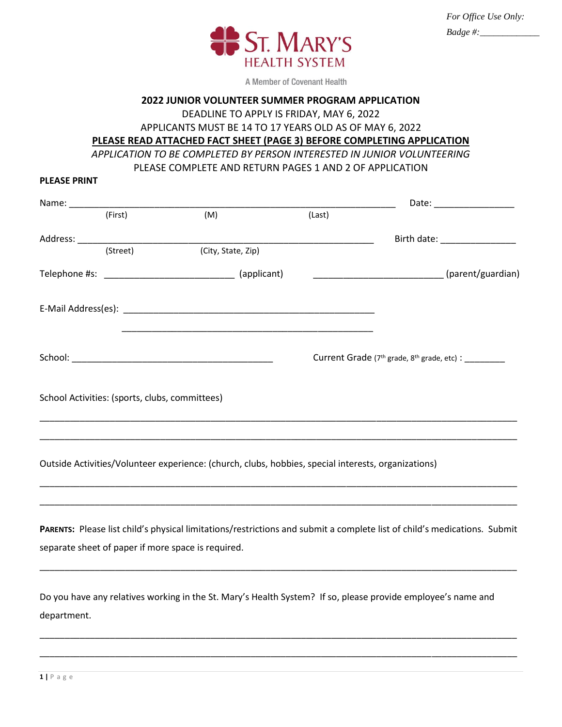

A Member of Covenant Health

#### **2022 JUNIOR VOLUNTEER SUMMER PROGRAM APPLICATION**

DEADLINE TO APPLY IS FRIDAY, MAY 6, 2022

APPLICANTS MUST BE 14 TO 17 YEARS OLD AS OF MAY 6, 2022

**PLEASE READ ATTACHED FACT SHEET (PAGE 3) BEFORE COMPLETING APPLICATION**

*APPLICATION TO BE COMPLETED BY PERSON INTERESTED IN JUNIOR VOLUNTEERING*

PLEASE COMPLETE AND RETURN PAGES 1 AND 2 OF APPLICATION

|                                                |                                                                                                                                                                                |        |                                             | Date: _____________________   |
|------------------------------------------------|--------------------------------------------------------------------------------------------------------------------------------------------------------------------------------|--------|---------------------------------------------|-------------------------------|
| (First)                                        | (M)                                                                                                                                                                            | (Last) |                                             |                               |
|                                                |                                                                                                                                                                                |        |                                             | Birth date: _________________ |
| (Street)                                       | (City, State, Zip)                                                                                                                                                             |        |                                             |                               |
|                                                | Telephone #s: __________________________________ (applicant)                                                                                                                   |        | (parent/guardian)                           |                               |
|                                                |                                                                                                                                                                                |        |                                             |                               |
|                                                |                                                                                                                                                                                |        | Current Grade (7th grade, 8th grade, etc) : |                               |
| School Activities: (sports, clubs, committees) |                                                                                                                                                                                |        |                                             |                               |
|                                                | Outside Activities/Volunteer experience: (church, clubs, hobbies, special interests, organizations)                                                                            |        |                                             |                               |
|                                                | PARENTS: Please list child's physical limitations/restrictions and submit a complete list of child's medications. Submit<br>separate sheet of paper if more space is required. |        |                                             |                               |
|                                                |                                                                                                                                                                                |        |                                             |                               |

Do you have any relatives working in the St. Mary's Health System? If so, please provide employee's name and department.

\_\_\_\_\_\_\_\_\_\_\_\_\_\_\_\_\_\_\_\_\_\_\_\_\_\_\_\_\_\_\_\_\_\_\_\_\_\_\_\_\_\_\_\_\_\_\_\_\_\_\_\_\_\_\_\_\_\_\_\_\_\_\_\_\_\_\_\_\_\_\_\_\_\_\_\_\_\_\_\_\_\_\_\_\_\_\_\_\_\_\_\_\_\_\_

\_\_\_\_\_\_\_\_\_\_\_\_\_\_\_\_\_\_\_\_\_\_\_\_\_\_\_\_\_\_\_\_\_\_\_\_\_\_\_\_\_\_\_\_\_\_\_\_\_\_\_\_\_\_\_\_\_\_\_\_\_\_\_\_\_\_\_\_\_\_\_\_\_\_\_\_\_\_\_\_\_\_\_\_\_\_\_\_\_\_\_\_\_\_\_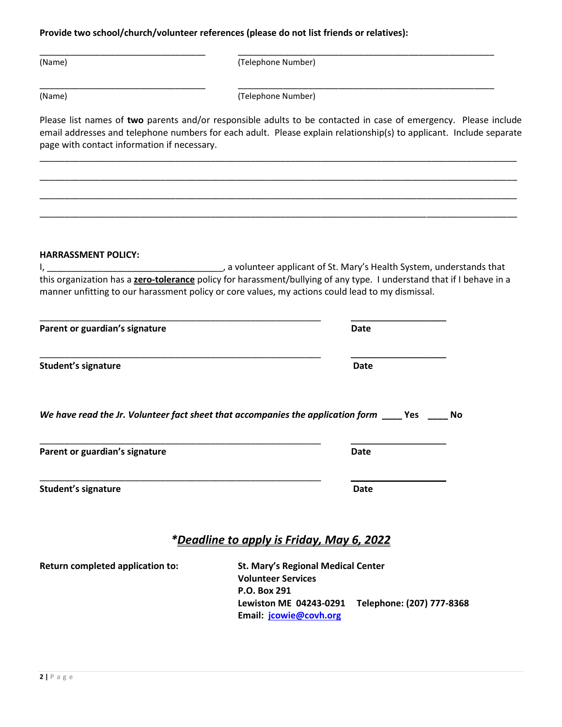**Provide two school/church/volunteer references (please do not list friends or relatives):**

| (Name | (Telephone Number) |
|-------|--------------------|

(Name) (Telephone Number)

\_\_\_\_\_\_\_\_\_\_\_\_\_\_\_\_\_\_\_\_\_\_\_\_\_\_\_\_\_\_\_\_\_ \_\_\_\_\_\_\_\_\_\_\_\_\_\_\_\_\_\_\_\_\_\_\_\_\_\_\_\_\_\_\_\_\_\_\_\_\_\_\_\_\_\_\_\_\_\_\_\_\_\_\_

Please list names of **two** parents and/or responsible adults to be contacted in case of emergency. Please include email addresses and telephone numbers for each adult. Please explain relationship(s) to applicant. Include separate page with contact information if necessary.

\_\_\_\_\_\_\_\_\_\_\_\_\_\_\_\_\_\_\_\_\_\_\_\_\_\_\_\_\_\_\_\_\_\_\_\_\_\_\_\_\_\_\_\_\_\_\_\_\_\_\_\_\_\_\_\_\_\_\_\_\_\_\_\_\_\_\_\_\_\_\_\_\_\_\_\_\_\_\_\_\_\_\_\_\_\_\_\_\_\_\_\_\_\_\_

\_\_\_\_\_\_\_\_\_\_\_\_\_\_\_\_\_\_\_\_\_\_\_\_\_\_\_\_\_\_\_\_\_\_\_\_\_\_\_\_\_\_\_\_\_\_\_\_\_\_\_\_\_\_\_\_\_\_\_\_\_\_\_\_\_\_\_\_\_\_\_\_\_\_\_\_\_\_\_\_\_\_\_\_\_\_\_\_\_\_\_\_\_\_\_

\_\_\_\_\_\_\_\_\_\_\_\_\_\_\_\_\_\_\_\_\_\_\_\_\_\_\_\_\_\_\_\_\_\_\_\_\_\_\_\_\_\_\_\_\_\_\_\_\_\_\_\_\_\_\_\_\_\_\_\_\_\_\_\_\_\_\_\_\_\_\_\_\_\_\_\_\_\_\_\_\_\_\_\_\_\_\_\_\_\_\_\_\_\_\_

\_\_\_\_\_\_\_\_\_\_\_\_\_\_\_\_\_\_\_\_\_\_\_\_\_\_\_\_\_\_\_\_\_\_\_\_\_\_\_\_\_\_\_\_\_\_\_\_\_\_\_\_\_\_\_\_\_\_\_\_\_\_\_\_\_\_\_\_\_\_\_\_\_\_\_\_\_\_\_\_\_\_\_\_\_\_\_\_\_\_\_\_\_\_\_

#### **HARRASSMENT POLICY:**

I, \_\_\_\_\_\_\_\_\_\_\_\_\_\_\_\_\_\_\_\_\_\_\_\_\_\_\_\_\_\_\_\_\_\_\_, a volunteer applicant of St. Mary's Health System, understands that this organization has a **zero-tolerance** policy for harassment/bullying of any type. I understand that if I behave in a manner unfitting to our harassment policy or core values, my actions could lead to my dismissal.

| Parent or guardian's signature                                                                      | <b>Date</b> |  |
|-----------------------------------------------------------------------------------------------------|-------------|--|
| <b>Student's signature</b>                                                                          | <b>Date</b> |  |
| We have read the Jr. Volunteer fact sheet that accompanies the application form _____ Yes ______ No |             |  |

\_\_\_\_\_\_\_\_\_\_\_\_\_\_\_\_\_\_\_\_\_\_\_\_\_\_\_\_\_\_\_\_\_\_\_\_\_\_\_\_\_\_\_\_\_\_\_\_\_\_\_\_\_\_\_\_ \_\_\_\_\_\_\_\_\_\_\_\_\_\_\_\_\_\_\_

| Parent or guardian's signature | Date |
|--------------------------------|------|
|                                |      |

**Student's signature Date** 

# *\*Deadline to apply is Friday, May 6, 2022*

**Return completed application to: St. Mary's Regional Medical Center Volunteer Services P.O. Box 291 Lewiston ME 04243-0291 Telephone: (207) 777-8368 Email: [jcowie@covh.org](mailto:jcowie@covh.org)**